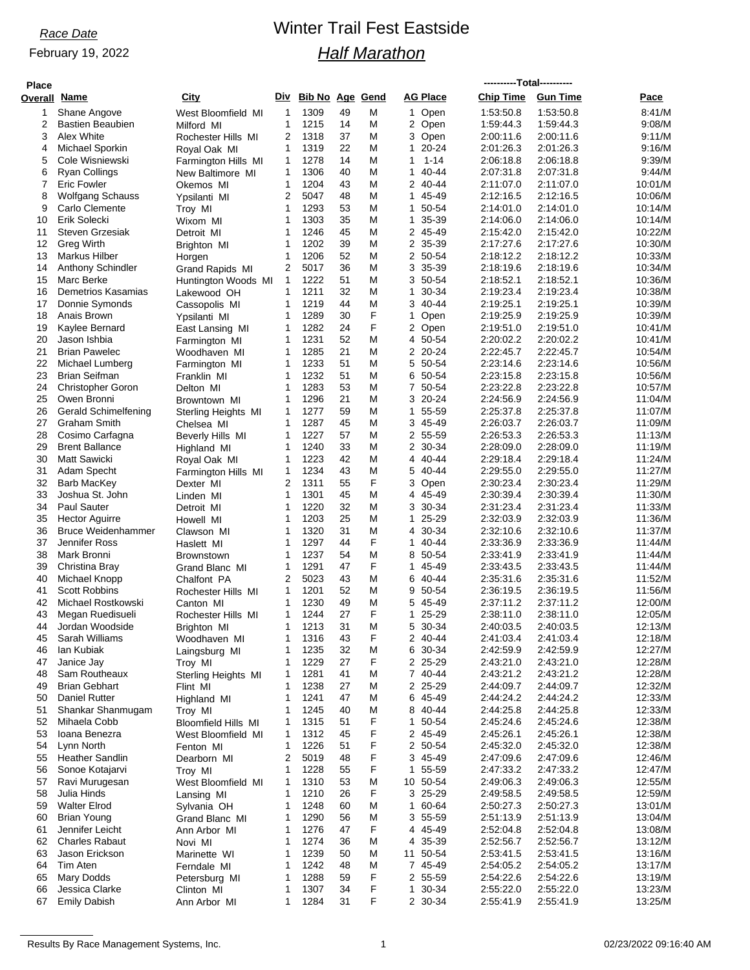February 19, 2022

## *Race Date* Winter Trail Fest Eastside *Half Marathon*

| <b>Place</b> |                                           |                                     |              |                        |          |        |                           |                        |                        |                    |
|--------------|-------------------------------------------|-------------------------------------|--------------|------------------------|----------|--------|---------------------------|------------------------|------------------------|--------------------|
| Overall      | <u>Name</u>                               | City                                | Div          | <b>Bib No Age Gend</b> |          |        | <b>AG Place</b>           | <b>Chip Time</b>       | <b>Gun Time</b>        | Pace               |
| 1            | Shane Angove                              | West Bloomfield MI                  | 1            | 1309                   | 49       | Μ      | 1 Open                    | 1:53:50.8              | 1:53:50.8              | 8:41/M             |
| 2            | <b>Bastien Beaubien</b>                   | Milford MI                          | 1            | 1215                   | 14       | M      | 2 Open                    | 1:59:44.3              | 1.59.44.3              | 9:08/M             |
| 3            | Alex White                                | Rochester Hills MI                  | 2            | 1318                   | 37       | Μ      | 3 Open                    | 2:00:11.6              | 2:00:11.6              | 9:11/M             |
| 4            | Michael Sporkin                           | Royal Oak MI                        | 1            | 1319                   | 22       | M      | 20-24<br>1                | 2:01:26.3              | 2:01:26.3              | 9:16/M             |
| 5            | Cole Wisniewski                           | Farmington Hills MI                 | 1            | 1278                   | 14       | M      | 1<br>$1 - 14$             | 2:06:18.8              | 2:06:18.8              | 9:39/M             |
| 6            | Ryan Collings                             | New Baltimore MI                    | 1            | 1306                   | 40       | Μ      | 40-44<br>1                | 2:07:31.8              | 2:07:31.8              | 9:44/M             |
| 7            | <b>Eric Fowler</b>                        | Okemos MI                           | 1            | 1204                   | 43       | M      | 2 40-44                   | 2:11:07.0              | 2:11:07.0              | 10:01/M            |
| 8<br>9       | <b>Wolfgang Schauss</b><br>Carlo Clemente | Ypsilanti MI                        | 2<br>1       | 5047<br>1293           | 48<br>53 | M<br>M | 45-49<br>1<br>1<br>50-54  | 2:12:16.5              | 2:12:16.5<br>2:14:01.0 | 10:06/M            |
| 10           | Erik Solecki                              | Troy MI<br>Wixom MI                 | 1            | 1303                   | 35       | M      | 1<br>35-39                | 2:14:01.0<br>2:14:06.0 | 2:14:06.0              | 10:14/M<br>10:14/M |
| 11           | Steven Grzesiak                           | Detroit MI                          | 1            | 1246                   | 45       | M      | 2 45-49                   | 2:15:42.0              | 2:15:42.0              | 10:22/M            |
| 12           | <b>Greg Wirth</b>                         | Brighton MI                         | 1            | 1202                   | 39       | M      | 2 35-39                   | 2:17:27.6              | 2:17:27.6              | 10:30/M            |
| 13           | <b>Markus Hilber</b>                      | Horgen                              | 1            | 1206                   | 52       | M      | 2 50-54                   | 2:18:12.2              | 2:18:12.2              | 10:33/M            |
| 14           | Anthony Schindler                         | Grand Rapids MI                     | 2            | 5017                   | 36       | Μ      | 3 35-39                   | 2:18:19.6              | 2:18:19.6              | 10:34/M            |
| 15           | Marc Berke                                | Huntington Woods MI                 | 1            | 1222                   | 51       | M      | 3 50-54                   | 2:18:52.1              | 2:18:52.1              | 10:36/M            |
| 16           | Demetrios Kasamias                        | Lakewood OH                         | $\mathbf{1}$ | 1211                   | 32       | M      | 1<br>30-34                | 2:19:23.4              | 2:19:23.4              | 10:38/M            |
| 17           | Donnie Symonds                            | Cassopolis MI                       | 1            | 1219                   | 44       | M      | 3<br>40-44                | 2:19:25.1              | 2:19:25.1              | 10:39/M            |
| 18           | Anais Brown                               | Ypsilanti MI                        | 1            | 1289                   | 30       | F      | 1<br>Open                 | 2:19:25.9              | 2:19:25.9              | 10:39/M            |
| 19           | Kaylee Bernard                            | East Lansing MI                     | 1            | 1282                   | 24       | F      | 2 Open                    | 2:19:51.0              | 2:19:51.0              | 10:41/M            |
| 20           | Jason Ishbia                              | Farmington MI                       | 1            | 1231                   | 52       | M      | 4 50-54                   | 2:20:02.2              | 2:20:02.2              | 10:41/M            |
| 21           | <b>Brian Pawelec</b>                      | Woodhaven MI                        | 1            | 1285                   | 21       | M      | 2 20-24                   | 2:22:45.7              | 2:22:45.7              | 10:54/M            |
| 22           | Michael Lumberg                           | Farmington MI                       | 1            | 1233                   | 51       | Μ      | 5 50-54                   | 2:23:14.6              | 2:23:14.6              | 10:56/M            |
| 23           | <b>Brian Seifman</b>                      | Franklin MI                         | 1<br>1       | 1232                   | 51<br>53 | M      | 6 50-54                   | 2:23:15.8              | 2:23:15.8              | 10:56/M            |
| 24<br>25     | <b>Christopher Goron</b><br>Owen Bronni   | Delton MI                           | 1            | 1283<br>1296           | 21       | M<br>M | 7 50-54<br>3 20-24        | 2:23:22.8<br>2:24:56.9 | 2:23:22.8<br>2:24:56.9 | 10:57/M<br>11:04/M |
| 26           | Gerald Schimelfening                      | Browntown MI<br>Sterling Heights MI | 1            | 1277                   | 59       | M      | 55-59<br>1                | 2:25:37.8              | 2:25:37.8              | 11:07/M            |
| 27           | <b>Graham Smith</b>                       | Chelsea MI                          | 1            | 1287                   | 45       | M      | 3 45-49                   | 2:26:03.7              | 2:26:03.7              | 11:09/M            |
| 28           | Cosimo Carfagna                           | Beverly Hills MI                    | 1            | 1227                   | 57       | M      | 2 55-59                   | 2:26:53.3              | 2:26:53.3              | 11:13/M            |
| 29           | <b>Brent Ballance</b>                     | Highland MI                         | 1            | 1240                   | 33       | M      | $\overline{2}$<br>30-34   | 2:28:09.0              | 2:28:09.0              | 11:19/M            |
| 30           | <b>Matt Sawicki</b>                       | Royal Oak MI                        | 1            | 1223                   | 42       | M      | 4 40-44                   | 2:29:18.4              | 2.29.18.4              | 11:24/M            |
| 31           | Adam Specht                               | Farmington Hills MI                 | 1            | 1234                   | 43       | M      | 40-44<br>5                | 2:29:55.0              | 2:29:55.0              | 11:27/M            |
| 32           | Barb MacKey                               | Dexter MI                           | 2            | 1311                   | 55       | F      | 3<br>Open                 | 2:30:23.4              | 2:30:23.4              | 11:29/M            |
| 33           | Joshua St. John                           | Linden MI                           | 1            | 1301                   | 45       | M      | 4 45-49                   | 2:30:39.4              | 2:30:39.4              | 11:30/M            |
| 34           | Paul Sauter                               | Detroit MI                          | 1            | 1220                   | 32       | M      | 30-34<br>3                | 2:31:23.4              | 2:31:23.4              | 11:33/M            |
| 35           | <b>Hector Aguirre</b>                     | Howell MI                           | 1            | 1203                   | 25       | M      | $\mathbf{1}$<br>$25 - 29$ | 2:32:03.9              | 2:32:03.9              | 11:36/M            |
| 36           | <b>Bruce Weidenhammer</b>                 | Clawson MI                          | 1            | 1320                   | 31       | M      | 4 30-34                   | 2:32:10.6              | 2:32:10.6              | 11:37/M            |
| 37           | Jennifer Ross                             | Haslett MI                          | $\mathbf{1}$ | 1297                   | 44       | F      | 40-44<br>$\mathbf{1}$     | 2:33:36.9              | 2:33:36.9              | 11:44/M            |
| 38           | Mark Bronni                               | <b>Brownstown</b>                   | 1<br>1       | 1237<br>1291           | 54<br>47 | M<br>F | 8 50-54                   | 2:33:41.9              | 2:33:41.9              | 11:44/M            |
| 39<br>40     | Christina Bray<br>Michael Knopp           | Grand Blanc MI                      | 2            | 5023                   | 43       | M      | 45-49<br>1<br>6 40-44     | 2:33:43.5<br>2:35:31.6 | 2:33:43.5<br>2:35:31.6 | 11:44/M<br>11:52/M |
| 41           | <b>Scott Robbins</b>                      | Chalfont PA<br>Rochester Hills MI   | 1            | 1201                   | 52       | M      | 9<br>50-54                | 2:36:19.5              | 2:36:19.5              | 11:56/M            |
| 42           | Michael Rostkowski                        | Canton MI                           | 1            | 1230                   | 49       | M      | 5<br>45-49                | 2:37:11.2              | 2:37:11.2              | 12:00/M            |
| 43           | Megan Ruedisueli                          | Rochester Hills MI                  | 1            | 1244                   | 27       | F      | 25-29<br>$\mathbf 1$      | 2:38:11.0              | 2:38:11.0              | 12:05/M            |
| 44           | Jordan Woodside                           | Brighton MI                         | 1            | 1213                   | 31       | M      | 5 30-34                   | 2.40.03.5              | 2:40:03.5              | 12:13/M            |
| 45           | Sarah Williams                            | Woodhaven MI                        | 1            | 1316                   | 43       | F      | 2 40-44                   | 2:41:03.4              | 2:41:03.4              | 12:18/M            |
| 46           | lan Kubiak                                | Laingsburg MI                       | 1            | 1235                   | 32       | M      | 6 30-34                   | 2:42:59.9              | 2:42:59.9              | 12:27/M            |
| 47           | Janice Jay                                | Troy MI                             | 1            | 1229                   | 27       | F      | 2 25-29                   | 2:43:21.0              | 2:43:21.0              | 12:28/M            |
| 48           | Sam Routheaux                             | Sterling Heights MI                 | 1            | 1281                   | 41       | M      | 7 40-44                   | 2:43:21.2              | 2:43:21.2              | 12:28/M            |
| 49           | <b>Brian Gebhart</b>                      | Flint MI                            | 1            | 1238                   | 27       | M      | 2 25-29                   | 2:44:09.7              | 2:44:09.7              | 12:32/M            |
| 50           | <b>Daniel Rutter</b>                      | Highland MI                         | 1            | 1241                   | 47       | M      | 6 45-49                   | 2:44:24.2              | 2:44:24.2              | 12:33/M            |
| 51           | Shankar Shanmugam                         | Troy MI                             | 1            | 1245                   | 40       | M      | 8 40-44                   | 2:44:25.8              | 2:44:25.8              | 12:33/M            |
| 52           | Mihaela Cobb                              | <b>Bloomfield Hills MI</b>          | 1            | 1315                   | 51       | F      | 50-54<br>1                | 2:45:24.6              | 2:45:24.6              | 12:38/M            |
| 53<br>54     | Ioana Benezra<br>Lynn North               | West Bloomfield MI                  | 1<br>1       | 1312<br>1226           | 45<br>51 | F<br>F | 2 45-49<br>2 50-54        | 2:45:26.1<br>2:45:32.0 | 2:45:26.1<br>2:45:32.0 | 12:38/M<br>12:38/M |
| 55           | <b>Heather Sandlin</b>                    | Fenton MI<br>Dearborn MI            | 2            | 5019                   | 48       | F      | 3 45-49                   | 2:47:09.6              | 2:47:09.6              | 12:46/M            |
| 56           | Sonoe Kotajarvi                           | Troy MI                             | 1            | 1228                   | 55       | F      | 55-59<br>1                | 2:47:33.2              | 2:47:33.2              | 12:47/M            |
| 57           | Ravi Murugesan                            | West Bloomfield MI                  | 1            | 1310                   | 53       | M      | 10 50-54                  | 2:49:06.3              | 2:49:06.3              | 12:55/M            |
| 58           | Julia Hinds                               | Lansing MI                          | 1            | 1210                   | 26       | F      | 3 25-29                   | 2:49:58.5              | 2:49:58.5              | 12:59/M            |
| 59           | <b>Walter Elrod</b>                       | Sylvania OH                         | 1            | 1248                   | 60       | M      | 60-64<br>$\mathbf{1}$     | 2:50:27.3              | 2:50:27.3              | 13:01/M            |
| 60           | <b>Brian Young</b>                        | Grand Blanc MI                      | 1            | 1290                   | 56       | M      | 3 55-59                   | 2:51:13.9              | 2:51:13.9              | 13:04/M            |
| 61           | Jennifer Leicht                           | Ann Arbor MI                        | 1            | 1276                   | 47       | F      | 45-49<br>4                | 2:52:04.8              | 2:52:04.8              | 13:08/M            |
| 62           | <b>Charles Rabaut</b>                     | Novi MI                             | 1            | 1274                   | 36       | M      | 4 35-39                   | 2:52:56.7              | 2:52:56.7              | 13:12/M            |
| 63           | Jason Erickson                            | Marinette WI                        | 1            | 1239                   | 50       | M      | 50-54<br>11               | 2:53:41.5              | 2:53:41.5              | 13:16/M            |
| 64           | Tim Aten                                  | Ferndale MI                         | 1            | 1242                   | 48       | M      | 7 45-49                   | 2:54:05.2              | 2:54:05.2              | 13:17/M            |
| 65           | <b>Mary Dodds</b>                         | Petersburg MI                       | 1            | 1288                   | 59       | F      | 2 55-59                   | 2:54:22.6              | 2:54:22.6              | 13:19/M            |
| 66           | Jessica Clarke                            | Clinton MI                          | 1            | 1307                   | 34       | F      | 30-34<br>$\mathbf{1}$     | 2:55:22.0              | 2:55:22.0              | 13:23/M            |
| 67           | <b>Emily Dabish</b>                       | Ann Arbor MI                        | 1            | 1284                   | 31       | F      | 2 30-34                   | 2:55:41.9              | 2:55:41.9              | 13:25/M            |